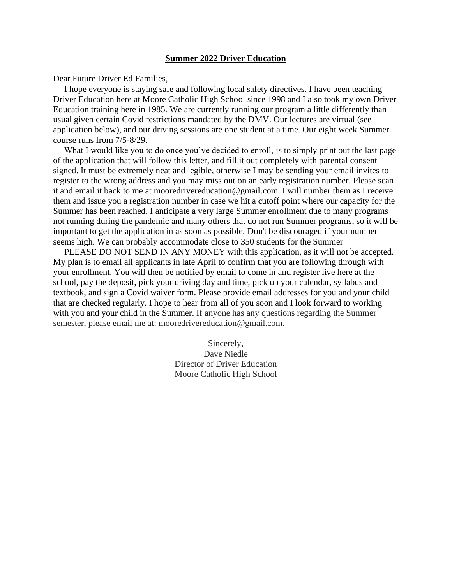# **Summer 2022 Driver Education**

Dear Future Driver Ed Families,

 I hope everyone is staying safe and following local safety directives. I have been teaching Driver Education here at Moore Catholic High School since 1998 and I also took my own Driver Education training here in 1985. We are currently running our program a little differently than usual given certain Covid restrictions mandated by the DMV. Our lectures are virtual (see application below), and our driving sessions are one student at a time. Our eight week Summer course runs from 7/5-8/29.

What I would like you to do once you've decided to enroll, is to simply print out the last page of the application that will follow this letter, and fill it out completely with parental consent signed. It must be extremely neat and legible, otherwise I may be sending your email invites to register to the wrong address and you may miss out on an early registration number. Please scan it and email it back to me at mooredrivereducation@gmail.com. I will number them as I receive them and issue you a registration number in case we hit a cutoff point where our capacity for the Summer has been reached. I anticipate a very large Summer enrollment due to many programs not running during the pandemic and many others that do not run Summer programs, so it will be important to get the application in as soon as possible. Don't be discouraged if your number seems high. We can probably accommodate close to 350 students for the Summer

 PLEASE DO NOT SEND IN ANY MONEY with this application, as it will not be accepted. My plan is to email all applicants in late April to confirm that you are following through with your enrollment. You will then be notified by email to come in and register live here at the school, pay the deposit, pick your driving day and time, pick up your calendar, syllabus and textbook, and sign a Covid waiver form. Please provide email addresses for you and your child that are checked regularly. I hope to hear from all of you soon and I look forward to working with you and your child in the Summer. If anyone has any questions regarding the Summer semester, please email me at: mooredrivereducation@gmail.com.

> Sincerely, Dave Niedle Director of Driver Education Moore Catholic High School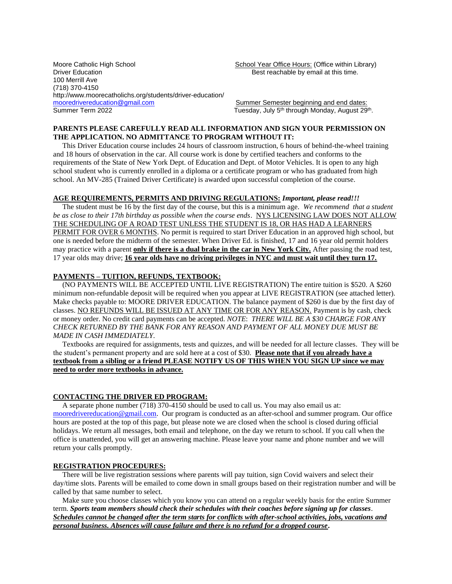Moore Catholic High School School School School Year Office Hours: (Office within Library)<br>Driver Education School School Sest reachable by email at this time. 100 Merrill Ave (718) 370-4150 http://www.moorecatholichs.org/students/driver-education/ [mooredrivereducation@gmail.com](mailto:mooredrivereducation@gmail.com) Summer Semester beginning and end dates:<br>Summer Term 2022 Summer Semester beginning and end dates: Summer Term 2022 Tuesday, July 5th through Monday, August 29th .

Best reachable by email at this time.

#### **PARENTS PLEASE CAREFULLY READ ALL INFORMATION AND SIGN YOUR PERMISSION ON THE APPLICATION. NO ADMITTANCE TO PROGRAM WITHOUT IT:**

 This Driver Education course includes 24 hours of classroom instruction, 6 hours of behind-the-wheel training and 18 hours of observation in the car. All course work is done by certified teachers and conforms to the requirements of the State of New York Dept. of Education and Dept. of Motor Vehicles. It is open to any high school student who is currently enrolled in a diploma or a certificate program or who has graduated from high school. An MV-285 (Trained Driver Certificate) is awarded upon successful completion of the course.

# **AGE REQUIREMENTS, PERMITS AND DRIVING REGULATIONS:** *Important, please read!!!*

 The student must be 16 by the first day of the course, but this is a minimum age. *We recommend that a student be as close to their 17th birthday as possible when the course ends*. NYS LICENSING LAW DOES NOT ALLOW THE SCHEDULING OF A ROAD TEST UNLESS THE STUDENT IS 18, OR HAS HAD A LEARNERS PERMIT FOR OVER 6 MONTHS. No permit is required to start Driver Education in an approved high school, but one is needed before the midterm of the semester. When Driver Ed. is finished, 17 and 16 year old permit holders may practice with a parent **only if there is a dual brake in the car in New York City.** After passing the road test, 17 year olds may drive; **16 year olds have no driving privileges in NYC and must wait until they turn 17.**

#### **PAYMENTS – TUITION, REFUNDS, TEXTBOOK:**

 (NO PAYMENTS WILL BE ACCEPTED UNTIL LIVE REGISTRATION) The entire tuition is \$520. A \$260 minimum non-refundable deposit will be required when you appear at LIVE REGISTRATION (see attached letter). Make checks payable to: MOORE DRIVER EDUCATION. The balance payment of \$260 is due by the first day of classes. NO REFUNDS WILL BE ISSUED AT ANY TIME OR FOR ANY REASON. Payment is by cash, check or money order. No credit card payments can be accepted. *NOTE*: *THERE WILL BE A \$30 CHARGE FOR ANY CHECK RETURNED BY THE BANK FOR ANY REASON AND PAYMENT OF ALL MONEY DUE MUST BE MADE IN CASH IMMEDIATELY*.

 Textbooks are required for assignments, tests and quizzes, and will be needed for all lecture classes. They will be the student's permanent property and are sold here at a cost of \$30. **Please note that if you already have a textbook from a sibling or a friend PLEASE NOTIFY US OF THIS WHEN YOU SIGN UP since we may need to order more textbooks in advance.**

#### **CONTACTING THE DRIVER ED PROGRAM:**

 A separate phone number (718) 370-4150 should be used to call us. You may also email us at: [mooredrivereducation@gmail.com.](mailto:mooredrivereducation@gmail.com) Our program is conducted as an after-school and summer program. Our office hours are posted at the top of this page, but please note we are closed when the school is closed during official holidays. We return all messages, both email and telephone, on the day we return to school. If you call when the office is unattended, you will get an answering machine. Please leave your name and phone number and we will return your calls promptly.

### **REGISTRATION PROCEDURES:**

 There will be live registration sessions where parents will pay tuition, sign Covid waivers and select their day/time slots. Parents will be emailed to come down in small groups based on their registration number and will be called by that same number to select.

 Make sure you choose classes which you know you can attend on a regular weekly basis for the entire Summer term. *Sports team members should check their schedules with their coaches before signing up for classes. Schedules cannot be changed after the term starts for conflicts with after-school activities, jobs, vacations and personal business. Absences will cause failure and there is no refund for a dropped course***.**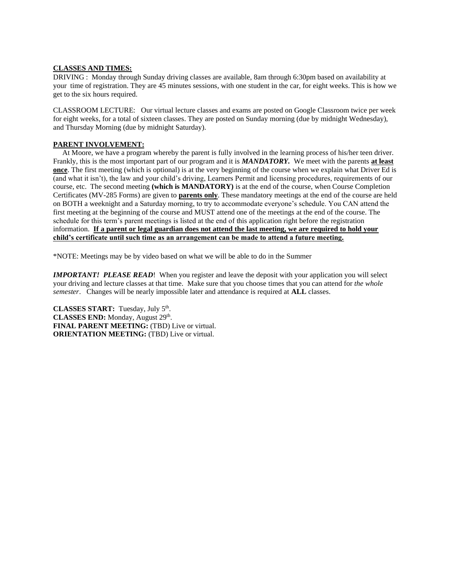# **CLASSES AND TIMES:**

DRIVING : Monday through Sunday driving classes are available, 8am through 6:30pm based on availability at your time of registration. They are 45 minutes sessions, with one student in the car, for eight weeks. This is how we get to the six hours required.

CLASSROOM LECTURE: Our virtual lecture classes and exams are posted on Google Classroom twice per week for eight weeks, for a total of sixteen classes. They are posted on Sunday morning (due by midnight Wednesday), and Thursday Morning (due by midnight Saturday).

# **PARENT INVOLVEMENT:**

 At Moore, we have a program whereby the parent is fully involved in the learning process of his/her teen driver. Frankly, this is the most important part of our program and it is *MANDATORY.* We meet with the parents **at least <u>once</u>**. The first meeting (which is optional) is at the very beginning of the course when we explain what Driver Ed is (and what it isn't), the law and your child's driving, Learners Permit and licensing procedures, requirements of our course, etc. The second meeting **(which is MANDATORY)** is at the end of the course, when Course Completion Certificates (MV-285 Forms) are given to **parents only**. These mandatory meetings at the end of the course are held on BOTH a weeknight and a Saturday morning, to try to accommodate everyone's schedule. You CAN attend the first meeting at the beginning of the course and MUST attend one of the meetings at the end of the course. The schedule for this term's parent meetings is listed at the end of this application right before the registration information. **If a parent or legal guardian does not attend the last meeting, we are required to hold your child's certificate until such time as an arrangement can be made to attend a future meeting.**

\*NOTE: Meetings may be by video based on what we will be able to do in the Summer

*IMPORTANT!* PLEASE READ! When you register and leave the deposit with your application you will select your driving and lecture classes at that time. Make sure that you choose times that you can attend for *the whole semester*. Changes will be nearly impossible later and attendance is required at **ALL** classes.

CLASSES START: Tuesday, July 5<sup>th</sup>. CLASSES END: Monday, August 29<sup>th</sup>. **FINAL PARENT MEETING:** (TBD) Live or virtual. **ORIENTATION MEETING:** (TBD) Live or virtual.